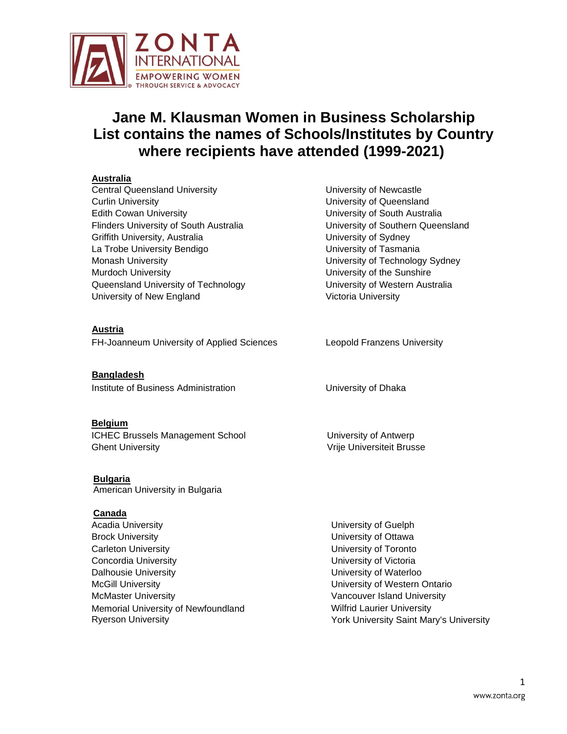

# **Jane M. Klausman Women in Business Scholarship List contains the names of Schools/Institutes by Country where recipients have attended (1999-2021)**

### **Australia**

Central Queensland University Curlin University Edith Cowan University Flinders University of South Australia Griffith University, Australia La Trobe University Bendigo Monash University Murdoch University Queensland University of Technology University of New England

## **Austria**

FH-Joanneum University of Applied Sciences Leopold Franzens University

**Bangladesh** Institute of Business Administration University of Dhaka

#### **Belgium**

ICHEC Brussels Management School Ghent University

**Bulgaria** American University in Bulgaria

#### **Canada**

Acadia University Brock University Carleton University Concordia University Dalhousie University McGill University McMaster University Memorial University of Newfoundland Ryerson University

University of Newcastle University of Queensland University of South Australia University of Southern Queensland University of Sydney University of Tasmania University of Technology Sydney University of the Sunshire University of Western Australia Victoria University

University of Antwerp Vrije Universiteit Brusse

University of Guelph University of Ottawa University of Toronto University of Victoria University of Waterloo University of Western Ontario Vancouver Island University Wilfrid Laurier University York University Saint Mary's University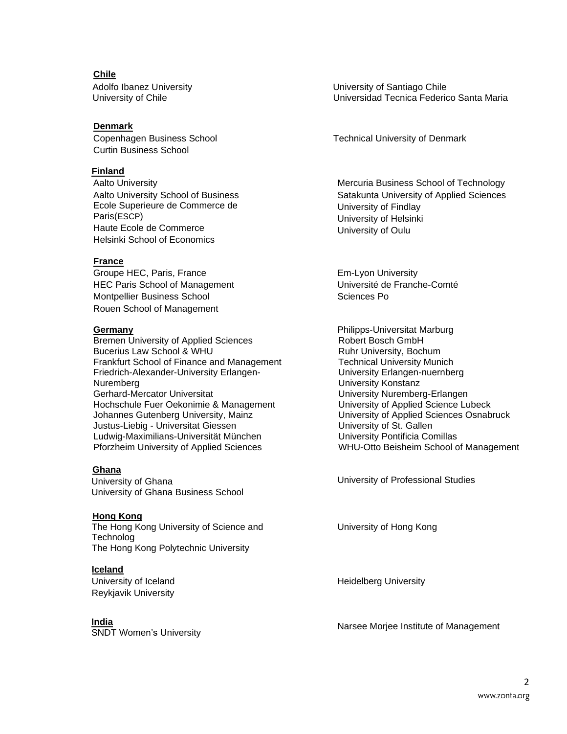**Chile** Adolfo Ibanez University University of Chile

## **Denmark**

Copenhagen Business School Curtin Business School

#### **Finland**

Aalto University Aalto University School of Business Ecole Superieure de Commerce de Paris(ESCP) Haute Ecole de Commerce Helsinki School of Economics

## **France**

Groupe HEC, Paris, France HEC Paris School of Management Montpellier Business School Rouen School of Management

#### **Germany**

Bremen University of Applied Sciences Bucerius Law School & WHU Frankfurt School of Finance and Management Friedrich-Alexander-University Erlangen-Nuremberg Gerhard-Mercator Universitat Hochschule Fuer Oekonimie & Management Johannes Gutenberg University, Mainz Justus-Liebig - Universitat Giessen Ludwig-Maximilians-Universität München Pforzheim University of Applied Sciences

#### **Ghana**

University of Ghana University of Ghana Business School

#### **Hong Kong**

The Hong Kong University of Science and Technolog The Hong Kong Polytechnic University

#### **Iceland**

University of Iceland Reykjavik University

#### **India**

University of Santiago Chile Universidad Tecnica Federico Santa Maria

Technical University of Denmark

Mercuria Business School of Technology Satakunta University of Applied Sciences University of Findlay University of Helsinki University of Oulu

Em-Lyon University Université de Franche-Comté Sciences Po

Philipps-Universitat Marburg Robert Bosch GmbH Ruhr University, Bochum Technical University Munich University Erlangen-nuernberg University Konstanz University Nuremberg-Erlangen University of Applied Science Lubeck University of Applied Sciences Osnabruck University of St. Gallen University Pontificia Comillas WHU-Otto Beisheim School of Management

University of Professional Studies

University of Hong Kong

Heidelberg University

**India**<br>SNDT Women's University Narsee Morjee Institute of Management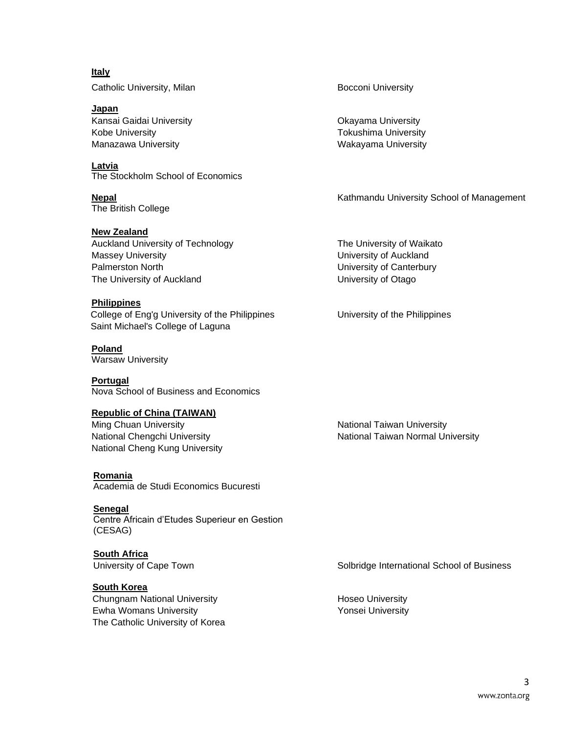**Italy** Catholic University, Milan Bocconi University

**Japan** Kansai Gaidai University Kobe University Manazawa University

**Latvia** The Stockholm School of Economics

**Nepal** The British College

## **New Zealand**

Auckland University of Technology Massey University Palmerston North The University of Auckland

#### **Philippines**

College of Eng'g University of the Philippines Saint Michael's College of Laguna

# **Poland**

Warsaw University

# **Portugal**

Nova School of Business and Economics

# **Republic of China (TAIWAN)**

Ming Chuan University National Chengchi University National Cheng Kung University

**Romania** Academia de Studi Economics Bucuresti

**Senegal**

Centre Africain d'Etudes Superieur en Gestion (CESAG)

**South Africa**

**South Korea**

Chungnam National University Ewha Womans University The Catholic University of Korea

Okayama University Tokushima University Wakayama University

Kathmandu University School of Management

The University of Waikato University of Auckland University of Canterbury University of Otago

University of the Philippines

National Taiwan University National Taiwan Normal University

University of Cape Town Subsectional School of Business Solbridge International School of Business

Hoseo University Yonsei University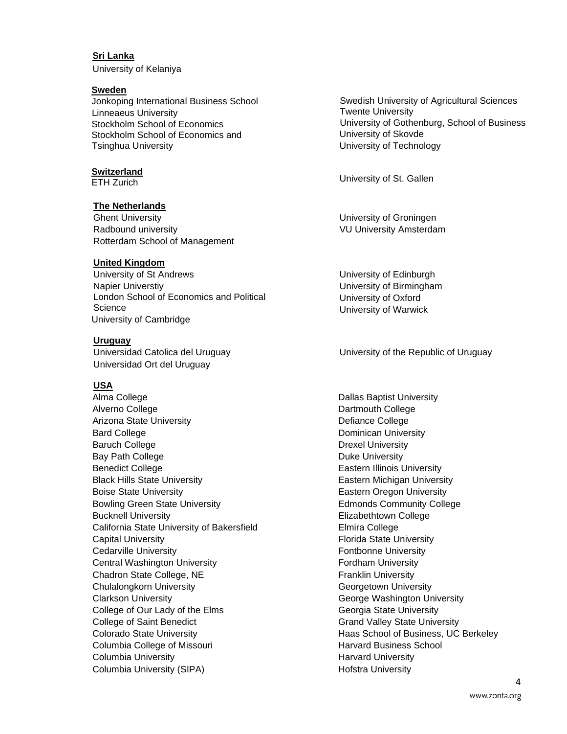#### **Sri Lanka**

University of Kelaniya

#### **Sweden**

Jonkoping International Business School Linneaeus University Stockholm School of Economics Stockholm School of Economics and Tsinghua University

# **Switzerland**

#### **The Netherlands**

Ghent University Radbound university Rotterdam School of Management

#### **United Kingdom**

University of St Andrews Napier Universtiy London School of Economics and Political **Science** University of Cambridge

#### **Uruguay**

Universidad Catolica del Uruguay Universidad Ort del Uruguay

#### **USA**

Alma College Alverno College Arizona State University Bard College Baruch College Bay Path College Benedict College Black Hills State University Boise State University Bowling Green State University Bucknell University California State University of Bakersfield Capital University Cedarville University Central Washington University Chadron State College, NE Chulalongkorn University Clarkson University College of Our Lady of the Elms College of Saint Benedict Colorado State University Columbia College of Missouri Columbia University Columbia University (SIPA)

Swedish University of Agricultural Sciences Twente University University of Gothenburg, School of Business University of Skovde University of Technology

ETH Zurich University of St. Gallen

University of Groningen VU University Amsterdam

University of Edinburgh University of Birmingham University of Oxford University of Warwick

#### University of the Republic of Uruguay

Dallas Baptist University Dartmouth College Defiance College Dominican University Drexel University Duke University Eastern Illinois University Eastern Michigan University Eastern Oregon University Edmonds Community College Elizabethtown College Elmira College Florida State University Fontbonne University Fordham University Franklin University Georgetown University George Washington University Georgia State University Grand Valley State University Haas School of Business, UC Berkeley Harvard Business School Harvard University Hofstra University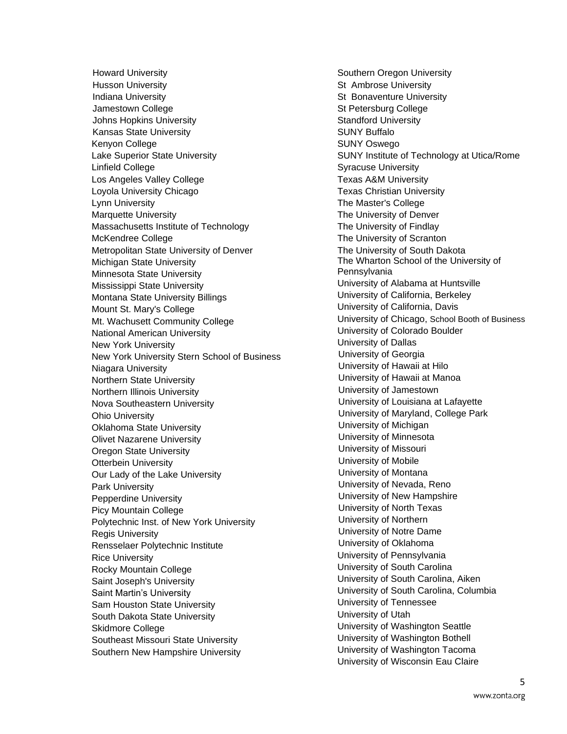Howard University Husson University Indiana University Jamestown College Johns Hopkins University Kansas State University Kenyon College Lake Superior State University Linfield College Los Angeles Valley College Loyola University Chicago Lynn University Marquette University Massachusetts Institute of Technology McKendree College Metropolitan State University of Denver Michigan State University Minnesota State University Mississippi State University Montana State University Billings Mount St. Mary's College Mt. Wachusett Community College National American University New York University New York University Stern School of Business Niagara University Northern State University Northern Illinois University Nova Southeastern University Ohio University Oklahoma State University Olivet Nazarene University Oregon State University Otterbein University Our Lady of the Lake University Park University Pepperdine University Picy Mountain College Polytechnic Inst. of New York University Regis University Rensselaer Polytechnic Institute Rice University Rocky Mountain College Saint Joseph's University Saint Martin's University Sam Houston State University South Dakota State University Skidmore College Southeast Missouri State University Southern New Hampshire University

Southern Oregon University St Ambrose University St Bonaventure University St Petersburg College Standford University SUNY Buffalo SUNY Oswego SUNY Institute of Technology at Utica/Rome Syracuse University Texas A&M University Texas Christian University The Master's College The University of Denver The University of Findlay The University of Scranton The University of South Dakota The Wharton School of the University of **Pennsylvania** University of Alabama at Huntsville University of California, Berkeley University of California, Davis University of Chicago, School Booth of Business University of Colorado Boulder University of Dallas University of Georgia University of Hawaii at Hilo University of Hawaii at Manoa University of Jamestown University of Louisiana at Lafayette University of Maryland, College Park University of Michigan University of Minnesota University of Missouri University of Mobile University of Montana University of Nevada, Reno University of New Hampshire University of North Texas University of Northern University of Notre Dame University of Oklahoma University of Pennsylvania University of South Carolina University of South Carolina, Aiken University of South Carolina, Columbia University of Tennessee University of Utah University of Washington Seattle University of Washington Bothell University of Washington Tacoma University of Wisconsin Eau Claire